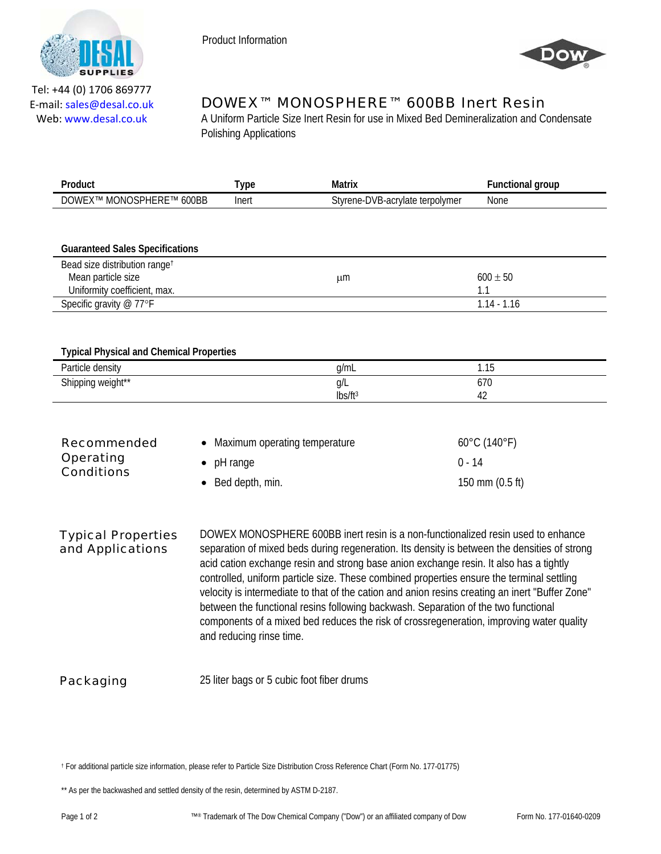

Product Information



Tel: +44 (0) 1706 869777 E‐mail: sales@desal.co.uk Web: www.desal.co.uk

## DOWEX™ MONOSPHERE™ 600BB Inert Resin

A Uniform Particle Size Inert Resin for use in Mixed Bed Demineralization and Condensate Polishing Applications

| Product                                                             | <b>Type</b>                                                                                                                                                                                                                                                                                                                                                                                                                                                                                                                                                                                                                                                                              | Matrix                                  | <b>Functional group</b>  |
|---------------------------------------------------------------------|------------------------------------------------------------------------------------------------------------------------------------------------------------------------------------------------------------------------------------------------------------------------------------------------------------------------------------------------------------------------------------------------------------------------------------------------------------------------------------------------------------------------------------------------------------------------------------------------------------------------------------------------------------------------------------------|-----------------------------------------|--------------------------|
| DOWEX™ MONOSPHERE™ 600BB<br>Inert                                   |                                                                                                                                                                                                                                                                                                                                                                                                                                                                                                                                                                                                                                                                                          | Styrene-DVB-acrylate terpolymer<br>None |                          |
|                                                                     |                                                                                                                                                                                                                                                                                                                                                                                                                                                                                                                                                                                                                                                                                          |                                         |                          |
| <b>Guaranteed Sales Specifications</b>                              |                                                                                                                                                                                                                                                                                                                                                                                                                                                                                                                                                                                                                                                                                          |                                         |                          |
| Bead size distribution range <sup>t</sup>                           |                                                                                                                                                                                                                                                                                                                                                                                                                                                                                                                                                                                                                                                                                          |                                         |                          |
| Mean particle size                                                  |                                                                                                                                                                                                                                                                                                                                                                                                                                                                                                                                                                                                                                                                                          | $\mu$ m                                 | $600 \pm 50$             |
| Uniformity coefficient, max.<br>Specific gravity @ 77°F             |                                                                                                                                                                                                                                                                                                                                                                                                                                                                                                                                                                                                                                                                                          |                                         | 1.1<br>$1.14 - 1.16$     |
|                                                                     |                                                                                                                                                                                                                                                                                                                                                                                                                                                                                                                                                                                                                                                                                          |                                         |                          |
|                                                                     |                                                                                                                                                                                                                                                                                                                                                                                                                                                                                                                                                                                                                                                                                          |                                         |                          |
| <b>Typical Physical and Chemical Properties</b><br>Particle density |                                                                                                                                                                                                                                                                                                                                                                                                                                                                                                                                                                                                                                                                                          | g/mL                                    | 1.15                     |
| Shipping weight**                                                   |                                                                                                                                                                                                                                                                                                                                                                                                                                                                                                                                                                                                                                                                                          | g/L<br>lbs/ft <sup>3</sup>              | 670<br>42                |
| <b>Recommended</b><br><b>Operating</b><br><b>Conditions</b>         | Maximum operating temperature<br>pH range                                                                                                                                                                                                                                                                                                                                                                                                                                                                                                                                                                                                                                                |                                         | 60°C (140°F)<br>$0 - 14$ |
|                                                                     | Bed depth, min.                                                                                                                                                                                                                                                                                                                                                                                                                                                                                                                                                                                                                                                                          |                                         | 150 mm (0.5 ft)          |
| <b>Typical Properties</b><br>and Applications                       | DOWEX MONOSPHERE 600BB inert resin is a non-functionalized resin used to enhance<br>separation of mixed beds during regeneration. Its density is between the densities of strong<br>acid cation exchange resin and strong base anion exchange resin. It also has a tightly<br>controlled, uniform particle size. These combined properties ensure the terminal settling<br>velocity is intermediate to that of the cation and anion resins creating an inert "Buffer Zone"<br>between the functional resins following backwash. Separation of the two functional<br>components of a mixed bed reduces the risk of crossregeneration, improving water quality<br>and reducing rinse time. |                                         |                          |
| Packaging                                                           | 25 liter bags or 5 cubic foot fiber drums                                                                                                                                                                                                                                                                                                                                                                                                                                                                                                                                                                                                                                                |                                         |                          |

† For additional particle size information, please refer to Particle Size Distribution Cross Reference Chart (Form No. 177-01775)

\*\* As per the backwashed and settled density of the resin, determined by ASTM D-2187.